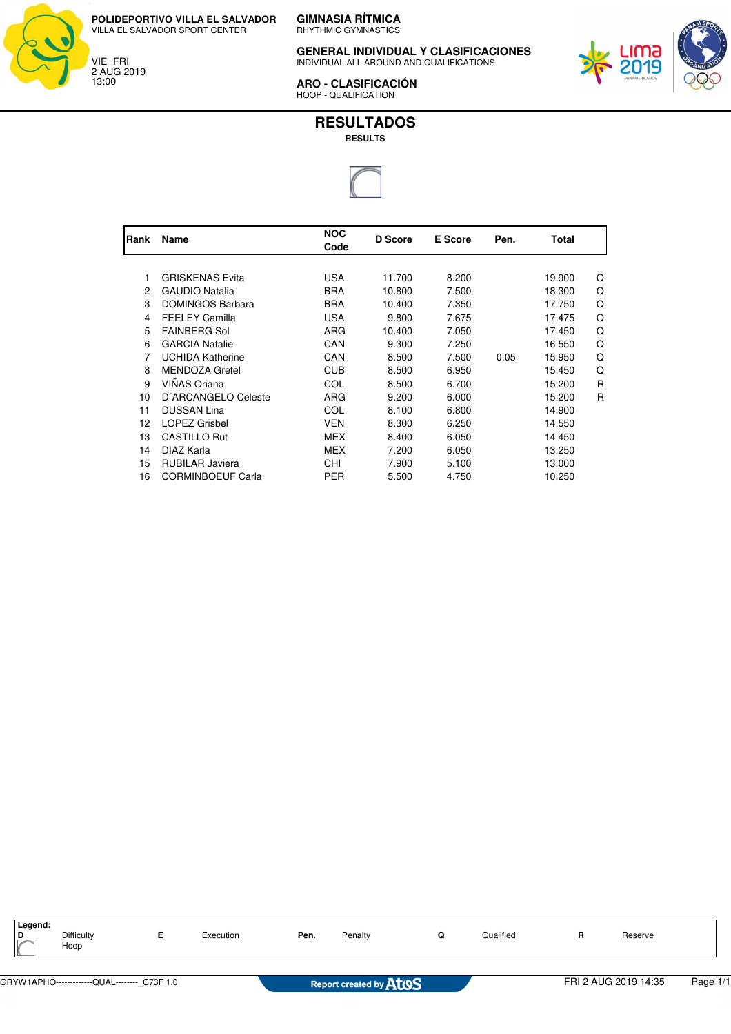



**GIMNASIA RÍTMICA** RHYTHMIC GYMNASTICS

**GENERAL INDIVIDUAL Y CLASIFICACIONES** INDIVIDUAL ALL AROUND AND QUALIFICATIONS



**ARO - CLASIFICACIÓN** HOOP - QUALIFICATION

## **RESULTADOS**

**RESULTS**



| <b>IRank</b> | Name                     | <b>NOC</b><br>Code | <b>D</b> Score | <b>E</b> Score | Pen. | Total  |   |
|--------------|--------------------------|--------------------|----------------|----------------|------|--------|---|
|              |                          |                    |                |                |      |        |   |
| 1            | <b>GRISKENAS Evita</b>   | <b>USA</b>         | 11.700         | 8.200          |      | 19.900 | Q |
| 2            | <b>GAUDIO Natalia</b>    | <b>BRA</b>         | 10.800         | 7.500          |      | 18.300 | Q |
| 3            | <b>DOMINGOS Barbara</b>  | <b>BRA</b>         | 10.400         | 7.350          |      | 17.750 | Q |
| 4            | <b>FEELEY Camilla</b>    | <b>USA</b>         | 9.800          | 7.675          |      | 17.475 | Q |
| 5            | <b>FAINBERG Sol</b>      | ARG                | 10.400         | 7.050          |      | 17.450 | Q |
| 6            | <b>GARCIA Natalie</b>    | CAN                | 9.300          | 7.250          |      | 16.550 | Q |
| 7            | <b>UCHIDA Katherine</b>  | CAN                | 8.500          | 7.500          | 0.05 | 15.950 | Q |
| 8            | <b>MENDOZA Gretel</b>    | <b>CUB</b>         | 8.500          | 6.950          |      | 15.450 | Q |
| 9            | <b>VIÑAS Oriana</b>      | COL                | 8.500          | 6.700          |      | 15.200 | R |
| 10           | D'ARCANGELO Celeste      | ARG                | 9.200          | 6.000          |      | 15.200 | R |
| 11           | <b>DUSSAN Lina</b>       | COL                | 8.100          | 6.800          |      | 14.900 |   |
| 12           | <b>LOPEZ Grisbel</b>     | <b>VEN</b>         | 8.300          | 6.250          |      | 14.550 |   |
| 13           | <b>CASTILLO Rut</b>      | <b>MEX</b>         | 8.400          | 6.050          |      | 14.450 |   |
| 14           | DIAZ Karla               | <b>MEX</b>         | 7.200          | 6.050          |      | 13.250 |   |
| 15           | <b>RUBILAR Javiera</b>   | CHI                | 7.900          | 5.100          |      | 13.000 |   |
| 16           | <b>CORMINBOEUF Carla</b> | <b>PER</b>         | 5.500          | 4.750          |      | 10.250 |   |

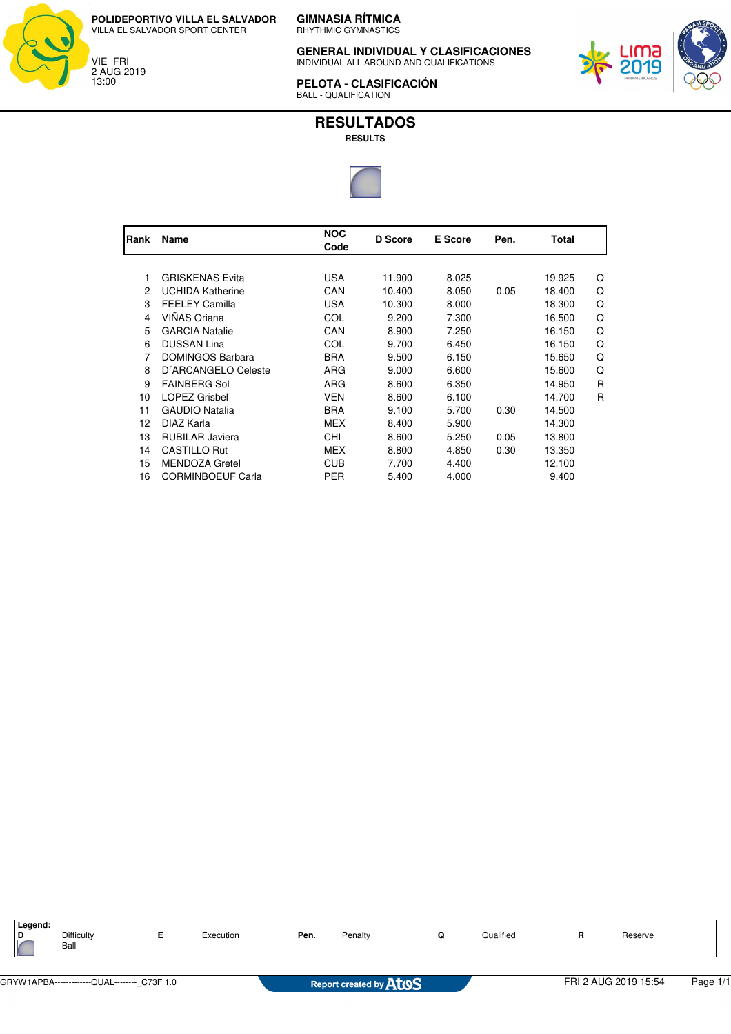



**GIMNASIA RÍTMICA** RHYTHMIC GYMNASTICS

**GENERAL INDIVIDUAL Y CLASIFICACIONES** INDIVIDUAL ALL AROUND AND QUALIFICATIONS



**PELOTA - CLASIFICACIÓN** BALL - QUALIFICATION

**RESULTADOS**

## **RESULTS**



| Rank | Name                     | <b>NOC</b><br>Code | D Score | <b>E</b> Score | Pen. | Total  |   |
|------|--------------------------|--------------------|---------|----------------|------|--------|---|
|      |                          |                    |         |                |      |        |   |
|      | <b>GRISKENAS Evita</b>   | <b>USA</b>         | 11.900  | 8.025          |      | 19.925 | Q |
| 2    | <b>UCHIDA Katherine</b>  | CAN                | 10.400  | 8.050          | 0.05 | 18.400 | Q |
| 3    | <b>FEELEY Camilla</b>    | USA                | 10.300  | 8.000          |      | 18.300 | Q |
| 4    | VIÑAS Oriana             | COL                | 9.200   | 7.300          |      | 16.500 | Q |
| 5    | <b>GARCIA Natalie</b>    | CAN                | 8.900   | 7.250          |      | 16.150 | Q |
| 6    | <b>DUSSAN Lina</b>       | COL                | 9.700   | 6.450          |      | 16.150 | Q |
| 7    | <b>DOMINGOS Barbara</b>  | <b>BRA</b>         | 9.500   | 6.150          |      | 15.650 | Q |
| 8    | D'ARCANGELO Celeste      | <b>ARG</b>         | 9.000   | 6.600          |      | 15.600 | Q |
| 9    | <b>FAINBERG Sol</b>      | ARG                | 8.600   | 6.350          |      | 14.950 | R |
| 10   | <b>LOPEZ Grisbel</b>     | <b>VEN</b>         | 8.600   | 6.100          |      | 14.700 | R |
| 11   | <b>GAUDIO Natalia</b>    | <b>BRA</b>         | 9.100   | 5.700          | 0.30 | 14.500 |   |
| 12   | DIAZ Karla               | <b>MEX</b>         | 8.400   | 5.900          |      | 14.300 |   |
| 13   | <b>RUBILAR Javiera</b>   | CHI                | 8.600   | 5.250          | 0.05 | 13.800 |   |
| 14   | <b>CASTILLO Rut</b>      | <b>MEX</b>         | 8.800   | 4.850          | 0.30 | 13.350 |   |
| 15   | <b>MENDOZA Gretel</b>    | <b>CUB</b>         | 7.700   | 4.400          |      | 12.100 |   |
| 16   | <b>CORMINBOEUF Carla</b> | PER                | 5.400   | 4.000          |      | 9.400  |   |

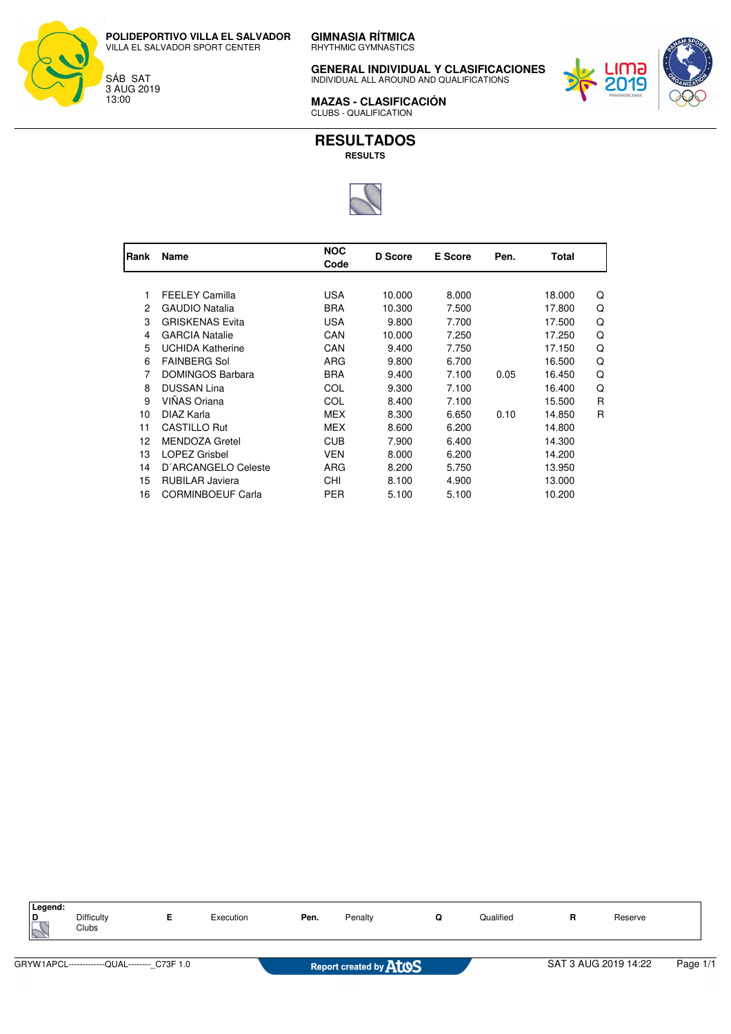**GIMNASIA RÍTMICA** RHYTHMIC GYMNASTICS **POLIDEPORTIVO VILLA EL SALVADOR**

VILLA EL SALVADOR SPORT CENTER

SÁB SAT 3 AUG 2019 13:00

**GENERAL INDIVIDUAL Y CLASIFICACIONES** INDIVIDUAL ALL AROUND AND QUALIFICATIONS



**MAZAS - CLASIFICACIÓN** CLUBS - QUALIFICATION

**RESULTADOS RESULTS**



| Rank | Name                     | <b>NOC</b><br>Code | D Score | <b>E</b> Score | Pen. | Total  |   |
|------|--------------------------|--------------------|---------|----------------|------|--------|---|
|      |                          |                    |         |                |      |        |   |
| 1    | <b>FEELEY Camilla</b>    | USA                | 10.000  | 8.000          |      | 18.000 | Q |
| 2    | <b>GAUDIO Natalia</b>    | BRA                | 10.300  | 7.500          |      | 17.800 | Q |
| 3    | <b>GRISKENAS Evita</b>   | USA                | 9.800   | 7.700          |      | 17.500 | Q |
| 4    | <b>GARCIA Natalie</b>    | CAN                | 10.000  | 7.250          |      | 17.250 | Q |
| 5    | <b>UCHIDA Katherine</b>  | CAN                | 9.400   | 7.750          |      | 17.150 | Q |
| 6    | <b>FAINBERG Sol</b>      | ARG                | 9.800   | 6.700          |      | 16.500 | Q |
| 7    | <b>DOMINGOS Barbara</b>  | <b>BRA</b>         | 9.400   | 7.100          | 0.05 | 16.450 | Q |
| 8    | <b>DUSSAN Lina</b>       | COL                | 9.300   | 7.100          |      | 16.400 | Q |
| 9    | VIÑAS Oriana             | COL                | 8.400   | 7.100          |      | 15.500 | R |
| 10   | DIAZ Karla               | MEX                | 8.300   | 6.650          | 0.10 | 14.850 | R |
| 11   | <b>CASTILLO Rut</b>      | MEX                | 8.600   | 6.200          |      | 14.800 |   |
| 12   | <b>MENDOZA Gretel</b>    | <b>CUB</b>         | 7.900   | 6.400          |      | 14.300 |   |
| 13   | <b>LOPEZ Grisbel</b>     | VEN                | 8.000   | 6.200          |      | 14.200 |   |
| 14   | D'ARCANGELO Celeste      | <b>ARG</b>         | 8.200   | 5.750          |      | 13.950 |   |
| 15   | <b>RUBILAR Javiera</b>   | CHI                | 8.100   | 4.900          |      | 13.000 |   |
| 16   | <b>CORMINBOEUF Carla</b> | PER                | 5.100   | 5.100          |      | 10.200 |   |